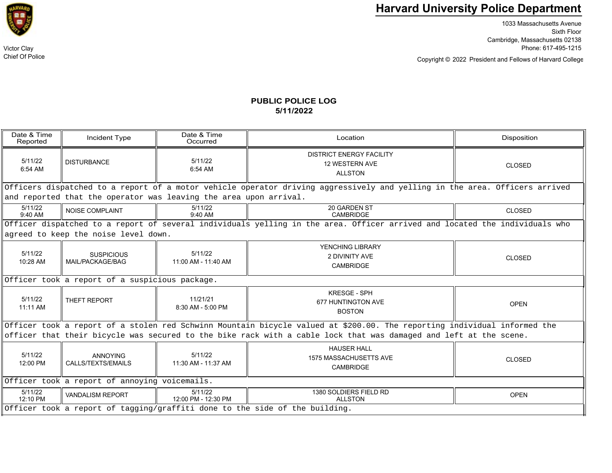

Chief Of Police

## **Harvard University Police Department**

1033 Massachusetts Avenue Sixth Floor Cambridge, Massachusetts 02138 Victor Clay Phone: 617-495-1215

Copyright © President and Fellows of Harvard College 2022

## **PUBLIC POLICE LOG5/11/2022**

| Date & Time<br>Reported                                                                                                    | Incident Type                         | Date & Time<br>Occurred        | Location                                                            | Disposition   |  |  |  |
|----------------------------------------------------------------------------------------------------------------------------|---------------------------------------|--------------------------------|---------------------------------------------------------------------|---------------|--|--|--|
| 5/11/22<br>6:54 AM                                                                                                         | <b>DISTURBANCE</b>                    | 5/11/22<br>6:54 AM             | <b>DISTRICT ENERGY FACILITY</b><br>12 WESTERN AVE<br><b>ALLSTON</b> | <b>CLOSED</b> |  |  |  |
| Officers dispatched to a report of a motor vehicle operator driving aggressively and yelling in the area. Officers arrived |                                       |                                |                                                                     |               |  |  |  |
| and reported that the operator was leaving the area upon arrival.                                                          |                                       |                                |                                                                     |               |  |  |  |
| 5/11/22<br>$9:40$ AM                                                                                                       | <b>NOISE COMPLAINT</b>                | 5/11/22<br>9:40 AM             | 20 GARDEN ST<br>CAMBRIDGE                                           | <b>CLOSED</b> |  |  |  |
| Officer dispatched to a report of several individuals yelling in the area. Officer arrived and located the individuals who |                                       |                                |                                                                     |               |  |  |  |
| agreed to keep the noise level down.                                                                                       |                                       |                                |                                                                     |               |  |  |  |
| 5/11/22<br>10:28 AM                                                                                                        | <b>SUSPICIOUS</b><br>MAIL/PACKAGE/BAG | 5/11/22<br>11:00 AM - 11:40 AM | YENCHING LIBRARY<br>2 DIVINITY AVE<br><b>CAMBRIDGE</b>              | <b>CLOSED</b> |  |  |  |
| Officer took a report of a suspicious package.                                                                             |                                       |                                |                                                                     |               |  |  |  |
| 5/11/22<br>11:11 AM                                                                                                        | THEFT REPORT                          | 11/21/21<br>8:30 AM - 5:00 PM  | <b>KRESGE - SPH</b><br>677 HUNTINGTON AVE<br><b>BOSTON</b>          | <b>OPEN</b>   |  |  |  |
| Officer took a report of a stolen red Schwinn Mountain bicycle valued at \$200.00. The reporting individual informed the   |                                       |                                |                                                                     |               |  |  |  |
| officer that their bicycle was secured to the bike rack with a cable lock that was damaged and left at the scene.          |                                       |                                |                                                                     |               |  |  |  |
| 5/11/22<br>12:00 PM                                                                                                        | <b>ANNOYING</b><br>CALLS/TEXTS/EMAILS | 5/11/22<br>11:30 AM - 11:37 AM | <b>HAUSER HALL</b><br>1575 MASSACHUSETTS AVE<br><b>CAMBRIDGE</b>    | <b>CLOSED</b> |  |  |  |
| Officer took a report of annoying voicemails.                                                                              |                                       |                                |                                                                     |               |  |  |  |
| 5/11/22<br>$12:10$ PM                                                                                                      | <b>VANDALISM REPORT</b>               | 5/11/22<br>12:00 PM - 12:30 PM | 1380 SOLDIERS FIELD RD<br><b>ALLSTON</b>                            | <b>OPEN</b>   |  |  |  |
| Officer took a report of tagging/graffiti done to the side of the building.                                                |                                       |                                |                                                                     |               |  |  |  |